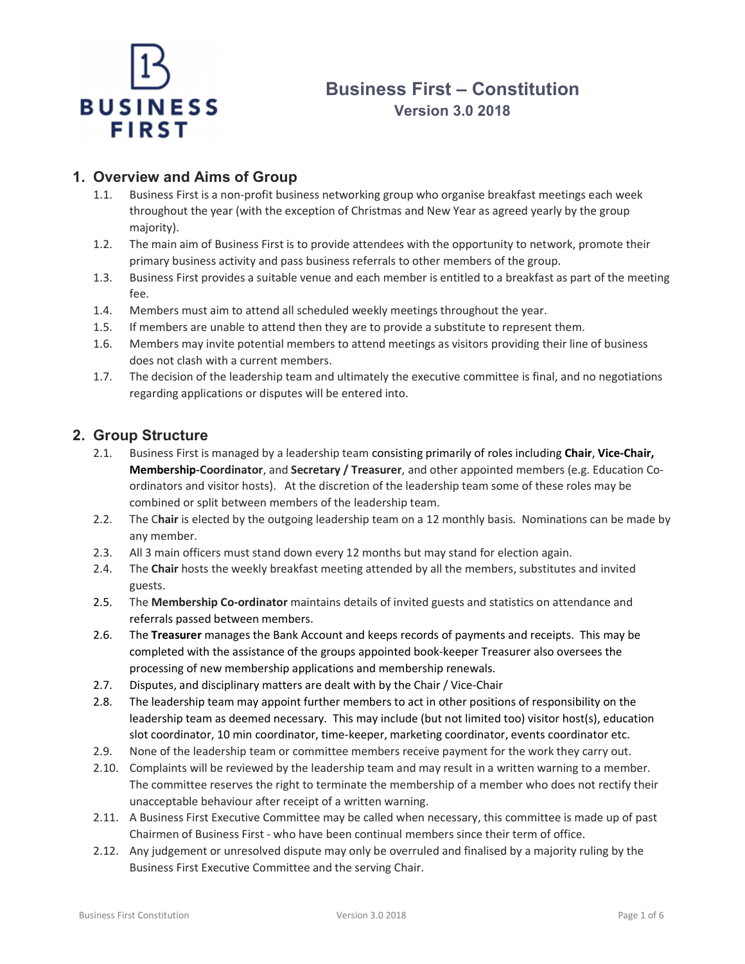

# Business First – Constitution Version 3.0 2018

# 1. Overview and Aims of Group

- 1.1. Business First is a non-profit business networking group who organise breakfast meetings each week throughout the year (with the exception of Christmas and New Year as agreed yearly by the group majority).
- 1.2. The main aim of Business First is to provide attendees with the opportunity to network, promote their primary business activity and pass business referrals to other members of the group.
- 1.3. Business First provides a suitable venue and each member is entitled to a breakfast as part of the meeting fee.
- 1.4. Members must aim to attend all scheduled weekly meetings throughout the year.
- 1.5. If members are unable to attend then they are to provide a substitute to represent them.
- 1.6. Members may invite potential members to attend meetings as visitors providing their line of business does not clash with a current members.
- 1.7. The decision of the leadership team and ultimately the executive committee is final, and no negotiations regarding applications or disputes will be entered into.

# 2. Group Structure

- 2.1. Business First is managed by a leadership team consisting primarily of roles including Chair, Vice-Chair, Membership-Coordinator, and Secretary / Treasurer, and other appointed members (e.g. Education Coordinators and visitor hosts). At the discretion of the leadership team some of these roles may be combined or split between members of the leadership team.
- 2.2. The Chair is elected by the outgoing leadership team on a 12 monthly basis. Nominations can be made by any member.
- 2.3. All 3 main officers must stand down every 12 months but may stand for election again.
- 2.4. The Chair hosts the weekly breakfast meeting attended by all the members, substitutes and invited guests.
- 2.5. The Membership Co-ordinator maintains details of invited guests and statistics on attendance and referrals passed between members.
- 2.6. The Treasurer manages the Bank Account and keeps records of payments and receipts. This may be completed with the assistance of the groups appointed book-keeper Treasurer also oversees the processing of new membership applications and membership renewals.
- 2.7. Disputes, and disciplinary matters are dealt with by the Chair / Vice-Chair
- 2.8. The leadership team may appoint further members to act in other positions of responsibility on the leadership team as deemed necessary. This may include (but not limited too) visitor host(s), education slot coordinator, 10 min coordinator, time-keeper, marketing coordinator, events coordinator etc.
- 2.9. None of the leadership team or committee members receive payment for the work they carry out.
- 2.10. Complaints will be reviewed by the leadership team and may result in a written warning to a member. The committee reserves the right to terminate the membership of a member who does not rectify their unacceptable behaviour after receipt of a written warning.
- 2.11. A Business First Executive Committee may be called when necessary, this committee is made up of past Chairmen of Business First - who have been continual members since their term of office.
- 2.12. Any judgement or unresolved dispute may only be overruled and finalised by a majority ruling by the Business First Executive Committee and the serving Chair.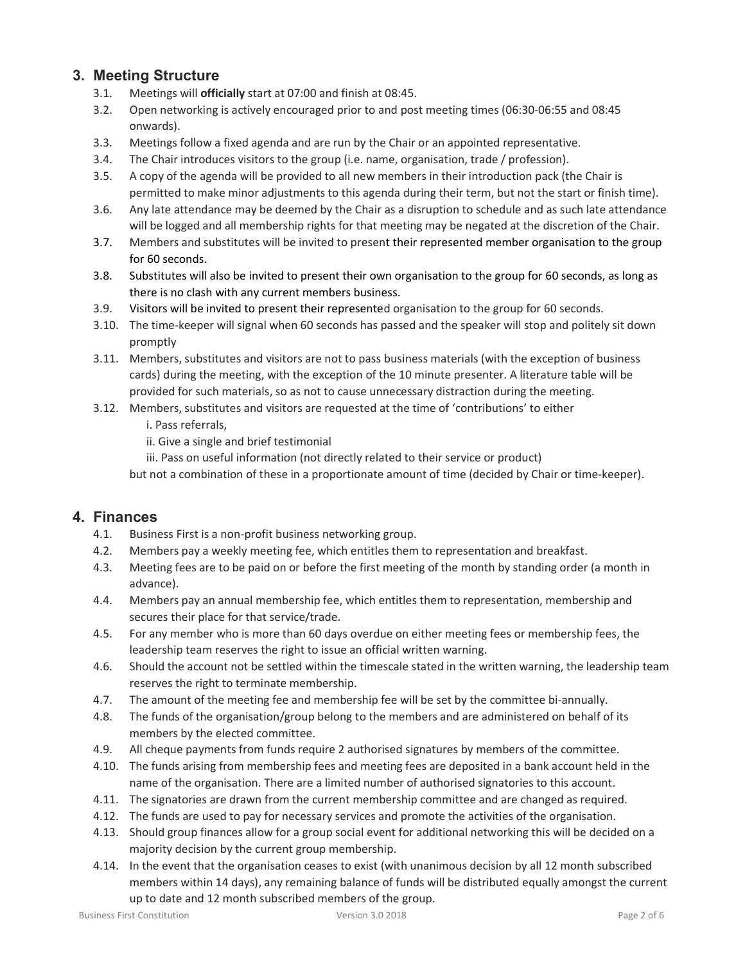# 3. Meeting Structure

- 3.1. Meetings will officially start at 07:00 and finish at 08:45.
- 3.2. Open networking is actively encouraged prior to and post meeting times (06:30-06:55 and 08:45 onwards).
- 3.3. Meetings follow a fixed agenda and are run by the Chair or an appointed representative.
- 3.4. The Chair introduces visitors to the group (i.e. name, organisation, trade / profession).
- 3.5. A copy of the agenda will be provided to all new members in their introduction pack (the Chair is permitted to make minor adjustments to this agenda during their term, but not the start or finish time).
- 3.6. Any late attendance may be deemed by the Chair as a disruption to schedule and as such late attendance will be logged and all membership rights for that meeting may be negated at the discretion of the Chair.
- 3.7. Members and substitutes will be invited to present their represented member organisation to the group for 60 seconds.
- 3.8. Substitutes will also be invited to present their own organisation to the group for 60 seconds, as long as there is no clash with any current members business.
- 3.9. Visitors will be invited to present their represented organisation to the group for 60 seconds.
- 3.10. The time-keeper will signal when 60 seconds has passed and the speaker will stop and politely sit down promptly
- 3.11. Members, substitutes and visitors are not to pass business materials (with the exception of business cards) during the meeting, with the exception of the 10 minute presenter. A literature table will be provided for such materials, so as not to cause unnecessary distraction during the meeting.
- 3.12. Members, substitutes and visitors are requested at the time of 'contributions' to either
	- i. Pass referrals,
	- ii. Give a single and brief testimonial
	- iii. Pass on useful information (not directly related to their service or product)

but not a combination of these in a proportionate amount of time (decided by Chair or time-keeper).

# 4. Finances

- 4.1. Business First is a non-profit business networking group.
- 4.2. Members pay a weekly meeting fee, which entitles them to representation and breakfast.
- 4.3. Meeting fees are to be paid on or before the first meeting of the month by standing order (a month in advance).
- 4.4. Members pay an annual membership fee, which entitles them to representation, membership and secures their place for that service/trade.
- 4.5. For any member who is more than 60 days overdue on either meeting fees or membership fees, the leadership team reserves the right to issue an official written warning.
- 4.6. Should the account not be settled within the timescale stated in the written warning, the leadership team reserves the right to terminate membership.
- 4.7. The amount of the meeting fee and membership fee will be set by the committee bi-annually.
- 4.8. The funds of the organisation/group belong to the members and are administered on behalf of its members by the elected committee.
- 4.9. All cheque payments from funds require 2 authorised signatures by members of the committee.
- 4.10. The funds arising from membership fees and meeting fees are deposited in a bank account held in the name of the organisation. There are a limited number of authorised signatories to this account.
- 4.11. The signatories are drawn from the current membership committee and are changed as required.
- 4.12. The funds are used to pay for necessary services and promote the activities of the organisation.
- 4.13. Should group finances allow for a group social event for additional networking this will be decided on a majority decision by the current group membership.
- 4.14. In the event that the organisation ceases to exist (with unanimous decision by all 12 month subscribed members within 14 days), any remaining balance of funds will be distributed equally amongst the current up to date and 12 month subscribed members of the group.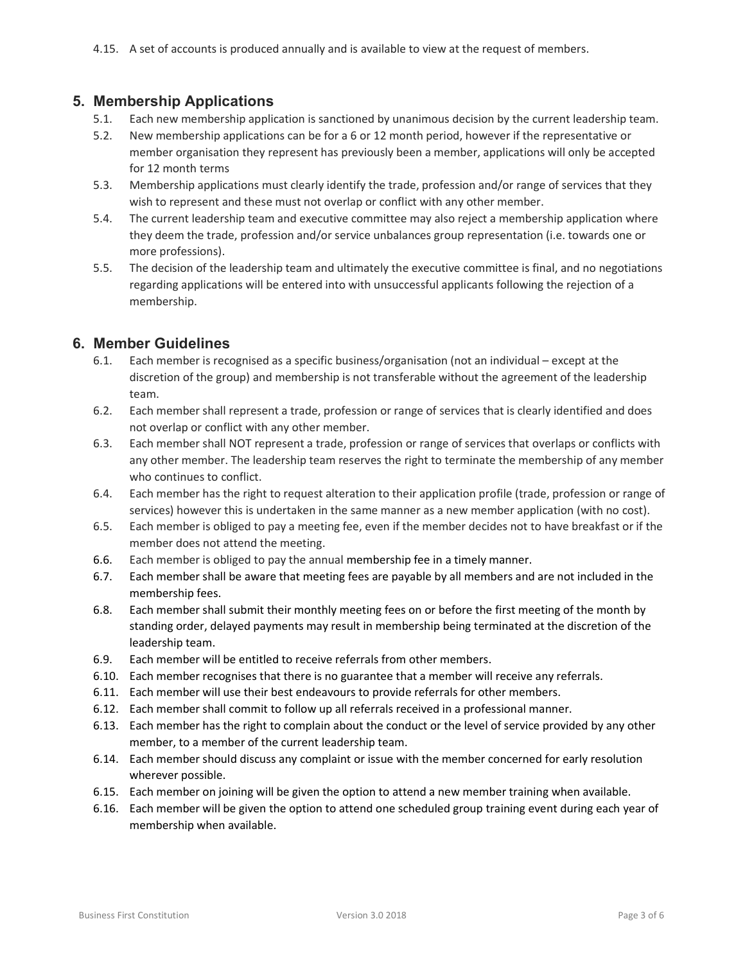## 5. Membership Applications

- 5.1. Each new membership application is sanctioned by unanimous decision by the current leadership team.
- 5.2. New membership applications can be for a 6 or 12 month period, however if the representative or member organisation they represent has previously been a member, applications will only be accepted for 12 month terms
- 5.3. Membership applications must clearly identify the trade, profession and/or range of services that they wish to represent and these must not overlap or conflict with any other member.
- 5.4. The current leadership team and executive committee may also reject a membership application where they deem the trade, profession and/or service unbalances group representation (i.e. towards one or more professions).
- 5.5. The decision of the leadership team and ultimately the executive committee is final, and no negotiations regarding applications will be entered into with unsuccessful applicants following the rejection of a membership.

## 6. Member Guidelines

- 6.1. Each member is recognised as a specific business/organisation (not an individual except at the discretion of the group) and membership is not transferable without the agreement of the leadership team.
- 6.2. Each member shall represent a trade, profession or range of services that is clearly identified and does not overlap or conflict with any other member.
- 6.3. Each member shall NOT represent a trade, profession or range of services that overlaps or conflicts with any other member. The leadership team reserves the right to terminate the membership of any member who continues to conflict.
- 6.4. Each member has the right to request alteration to their application profile (trade, profession or range of services) however this is undertaken in the same manner as a new member application (with no cost).
- 6.5. Each member is obliged to pay a meeting fee, even if the member decides not to have breakfast or if the member does not attend the meeting.
- 6.6. Each member is obliged to pay the annual membership fee in a timely manner.
- 6.7. Each member shall be aware that meeting fees are payable by all members and are not included in the membership fees.
- 6.8. Each member shall submit their monthly meeting fees on or before the first meeting of the month by standing order, delayed payments may result in membership being terminated at the discretion of the leadership team.
- 6.9. Each member will be entitled to receive referrals from other members.
- 6.10. Each member recognises that there is no guarantee that a member will receive any referrals.
- 6.11. Each member will use their best endeavours to provide referrals for other members.
- 6.12. Each member shall commit to follow up all referrals received in a professional manner.
- 6.13. Each member has the right to complain about the conduct or the level of service provided by any other member, to a member of the current leadership team.
- 6.14. Each member should discuss any complaint or issue with the member concerned for early resolution wherever possible.
- 6.15. Each member on joining will be given the option to attend a new member training when available.
- 6.16. Each member will be given the option to attend one scheduled group training event during each year of membership when available.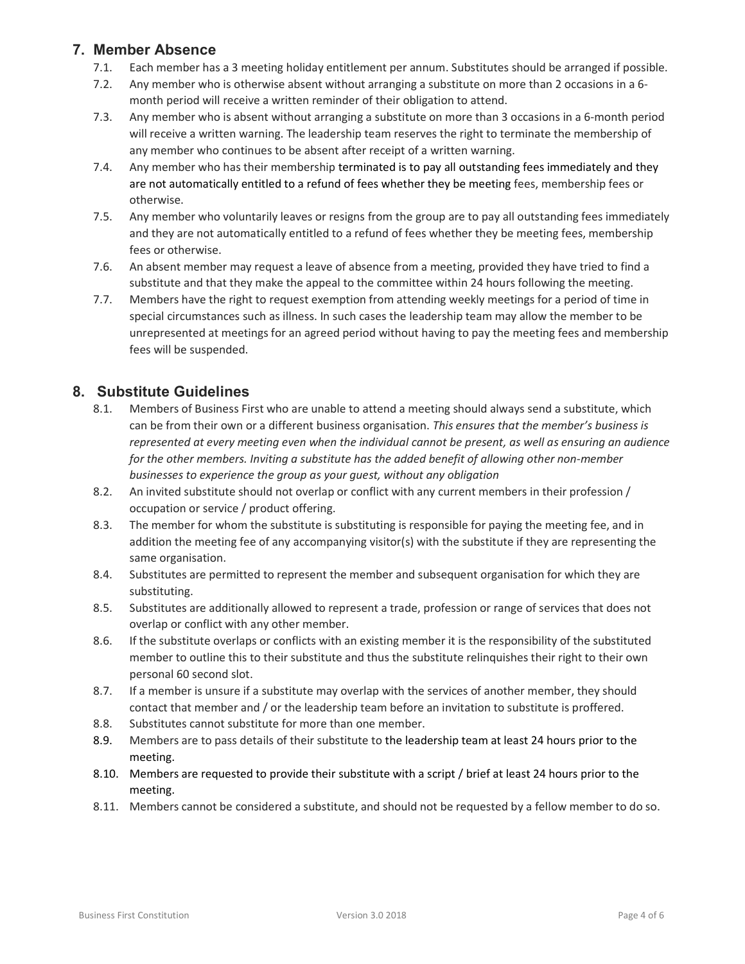# 7. Member Absence

- 7.1. Each member has a 3 meeting holiday entitlement per annum. Substitutes should be arranged if possible.
- 7.2. Any member who is otherwise absent without arranging a substitute on more than 2 occasions in a 6 month period will receive a written reminder of their obligation to attend.
- 7.3. Any member who is absent without arranging a substitute on more than 3 occasions in a 6-month period will receive a written warning. The leadership team reserves the right to terminate the membership of any member who continues to be absent after receipt of a written warning.
- 7.4. Any member who has their membership terminated is to pay all outstanding fees immediately and they are not automatically entitled to a refund of fees whether they be meeting fees, membership fees or otherwise.
- 7.5. Any member who voluntarily leaves or resigns from the group are to pay all outstanding fees immediately and they are not automatically entitled to a refund of fees whether they be meeting fees, membership fees or otherwise.
- 7.6. An absent member may request a leave of absence from a meeting, provided they have tried to find a substitute and that they make the appeal to the committee within 24 hours following the meeting.
- 7.7. Members have the right to request exemption from attending weekly meetings for a period of time in special circumstances such as illness. In such cases the leadership team may allow the member to be unrepresented at meetings for an agreed period without having to pay the meeting fees and membership fees will be suspended.

# 8. Substitute Guidelines

- 8.1. Members of Business First who are unable to attend a meeting should always send a substitute, which can be from their own or a different business organisation. This ensures that the member's business is represented at every meeting even when the individual cannot be present, as well as ensuring an audience for the other members. Inviting a substitute has the added benefit of allowing other non-member businesses to experience the group as your guest, without any obligation
- 8.2. An invited substitute should not overlap or conflict with any current members in their profession / occupation or service / product offering.
- 8.3. The member for whom the substitute is substituting is responsible for paying the meeting fee, and in addition the meeting fee of any accompanying visitor(s) with the substitute if they are representing the same organisation.
- 8.4. Substitutes are permitted to represent the member and subsequent organisation for which they are substituting.
- 8.5. Substitutes are additionally allowed to represent a trade, profession or range of services that does not overlap or conflict with any other member.
- 8.6. If the substitute overlaps or conflicts with an existing member it is the responsibility of the substituted member to outline this to their substitute and thus the substitute relinquishes their right to their own personal 60 second slot.
- 8.7. If a member is unsure if a substitute may overlap with the services of another member, they should contact that member and / or the leadership team before an invitation to substitute is proffered.
- 8.8. Substitutes cannot substitute for more than one member.
- 8.9. Members are to pass details of their substitute to the leadership team at least 24 hours prior to the meeting.
- 8.10. Members are requested to provide their substitute with a script / brief at least 24 hours prior to the meeting.
- 8.11. Members cannot be considered a substitute, and should not be requested by a fellow member to do so.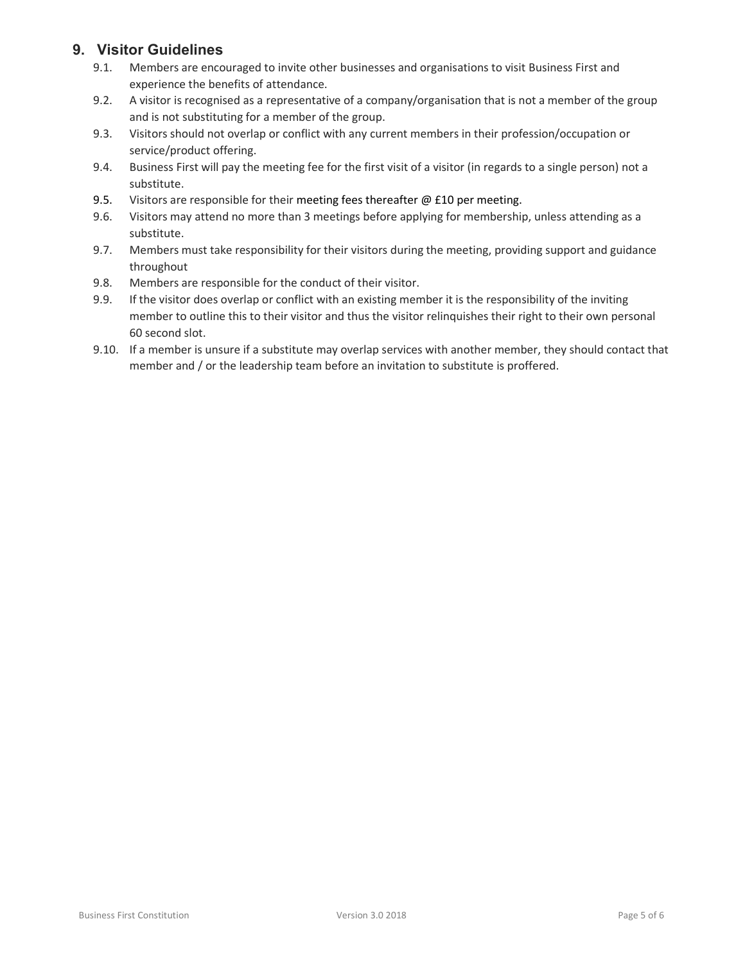## 9. Visitor Guidelines

- 9.1. Members are encouraged to invite other businesses and organisations to visit Business First and experience the benefits of attendance.
- 9.2. A visitor is recognised as a representative of a company/organisation that is not a member of the group and is not substituting for a member of the group.
- 9.3. Visitors should not overlap or conflict with any current members in their profession/occupation or service/product offering.
- 9.4. Business First will pay the meeting fee for the first visit of a visitor (in regards to a single person) not a substitute.
- 9.5. Visitors are responsible for their meeting fees thereafter  $@$  £10 per meeting.
- 9.6. Visitors may attend no more than 3 meetings before applying for membership, unless attending as a substitute.
- 9.7. Members must take responsibility for their visitors during the meeting, providing support and guidance throughout
- 9.8. Members are responsible for the conduct of their visitor.
- 9.9. If the visitor does overlap or conflict with an existing member it is the responsibility of the inviting member to outline this to their visitor and thus the visitor relinquishes their right to their own personal 60 second slot.
- 9.10. If a member is unsure if a substitute may overlap services with another member, they should contact that member and / or the leadership team before an invitation to substitute is proffered.